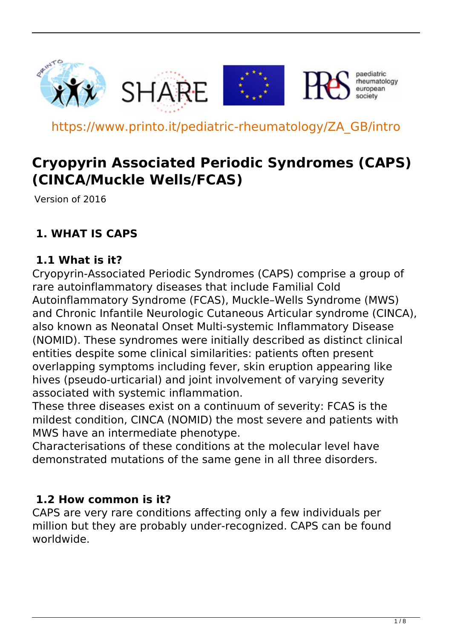

https://www.printo.it/pediatric-rheumatology/ZA\_GB/intro

# **Cryopyrin Associated Periodic Syndromes (CAPS) (CINCA/Muckle Wells/FCAS)**

Version of 2016

### **1. WHAT IS CAPS**

#### **1.1 What is it?**

Cryopyrin-Associated Periodic Syndromes (CAPS) comprise a group of rare autoinflammatory diseases that include Familial Cold Autoinflammatory Syndrome (FCAS), Muckle–Wells Syndrome (MWS) and Chronic Infantile Neurologic Cutaneous Articular syndrome (CINCA), also known as Neonatal Onset Multi-systemic Inflammatory Disease (NOMID). These syndromes were initially described as distinct clinical entities despite some clinical similarities: patients often present overlapping symptoms including fever, skin eruption appearing like hives (pseudo-urticarial) and joint involvement of varying severity associated with systemic inflammation.

These three diseases exist on a continuum of severity: FCAS is the mildest condition, CINCA (NOMID) the most severe and patients with MWS have an intermediate phenotype.

Characterisations of these conditions at the molecular level have demonstrated mutations of the same gene in all three disorders.

#### **1.2 How common is it?**

CAPS are very rare conditions affecting only a few individuals per million but they are probably under-recognized. CAPS can be found worldwide.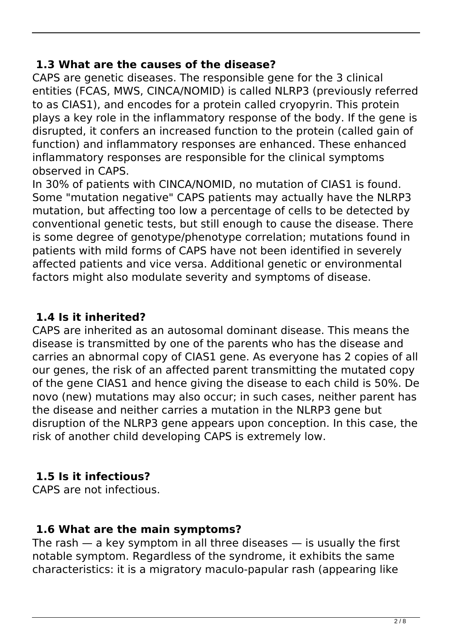#### **1.3 What are the causes of the disease?**

CAPS are genetic diseases. The responsible gene for the 3 clinical entities (FCAS, MWS, CINCA/NOMID) is called NLRP3 (previously referred to as CIAS1), and encodes for a protein called cryopyrin. This protein plays a key role in the inflammatory response of the body. If the gene is disrupted, it confers an increased function to the protein (called gain of function) and inflammatory responses are enhanced. These enhanced inflammatory responses are responsible for the clinical symptoms observed in CAPS.

In 30% of patients with CINCA/NOMID, no mutation of CIAS1 is found. Some "mutation negative" CAPS patients may actually have the NLRP3 mutation, but affecting too low a percentage of cells to be detected by conventional genetic tests, but still enough to cause the disease. There is some degree of genotype/phenotype correlation; mutations found in patients with mild forms of CAPS have not been identified in severely affected patients and vice versa. Additional genetic or environmental factors might also modulate severity and symptoms of disease.

### **1.4 Is it inherited?**

CAPS are inherited as an autosomal dominant disease. This means the disease is transmitted by one of the parents who has the disease and carries an abnormal copy of CIAS1 gene. As everyone has 2 copies of all our genes, the risk of an affected parent transmitting the mutated copy of the gene CIAS1 and hence giving the disease to each child is 50%. De novo (new) mutations may also occur; in such cases, neither parent has the disease and neither carries a mutation in the NLRP3 gene but disruption of the NLRP3 gene appears upon conception. In this case, the risk of another child developing CAPS is extremely low.

### **1.5 Is it infectious?**

CAPS are not infectious.

### **1.6 What are the main symptoms?**

The rash  $-$  a key symptom in all three diseases  $-$  is usually the first notable symptom. Regardless of the syndrome, it exhibits the same characteristics: it is a migratory maculo-papular rash (appearing like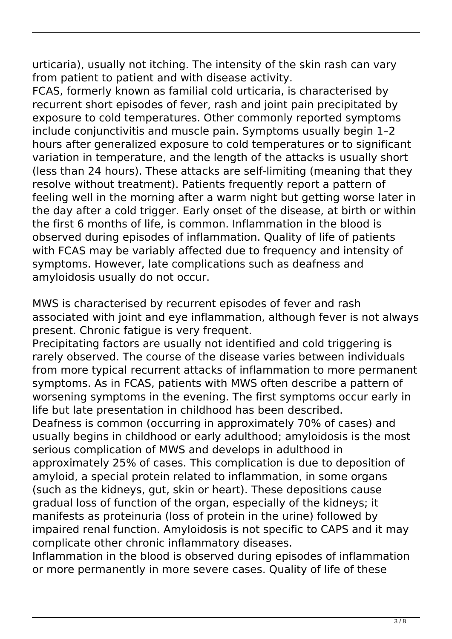urticaria), usually not itching. The intensity of the skin rash can vary from patient to patient and with disease activity.

FCAS, formerly known as familial cold urticaria, is characterised by recurrent short episodes of fever, rash and joint pain precipitated by exposure to cold temperatures. Other commonly reported symptoms include conjunctivitis and muscle pain. Symptoms usually begin 1–2 hours after generalized exposure to cold temperatures or to significant variation in temperature, and the length of the attacks is usually short (less than 24 hours). These attacks are self-limiting (meaning that they resolve without treatment). Patients frequently report a pattern of feeling well in the morning after a warm night but getting worse later in the day after a cold trigger. Early onset of the disease, at birth or within the first 6 months of life, is common. Inflammation in the blood is observed during episodes of inflammation. Quality of life of patients with FCAS may be variably affected due to frequency and intensity of symptoms. However, late complications such as deafness and amyloidosis usually do not occur.

MWS is characterised by recurrent episodes of fever and rash associated with joint and eye inflammation, although fever is not always present. Chronic fatigue is very frequent.

Precipitating factors are usually not identified and cold triggering is rarely observed. The course of the disease varies between individuals from more typical recurrent attacks of inflammation to more permanent symptoms. As in FCAS, patients with MWS often describe a pattern of worsening symptoms in the evening. The first symptoms occur early in life but late presentation in childhood has been described.

Deafness is common (occurring in approximately 70% of cases) and usually begins in childhood or early adulthood; amyloidosis is the most serious complication of MWS and develops in adulthood in approximately 25% of cases. This complication is due to deposition of amyloid, a special protein related to inflammation, in some organs (such as the kidneys, gut, skin or heart). These depositions cause gradual loss of function of the organ, especially of the kidneys; it manifests as proteinuria (loss of protein in the urine) followed by impaired renal function. Amyloidosis is not specific to CAPS and it may complicate other chronic inflammatory diseases.

Inflammation in the blood is observed during episodes of inflammation or more permanently in more severe cases. Quality of life of these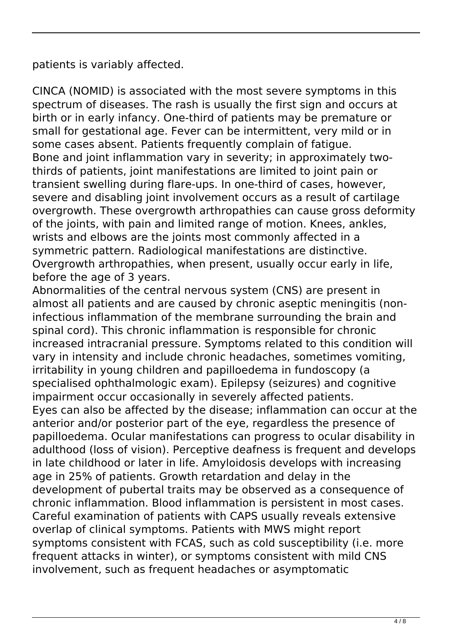patients is variably affected.

CINCA (NOMID) is associated with the most severe symptoms in this spectrum of diseases. The rash is usually the first sign and occurs at birth or in early infancy. One-third of patients may be premature or small for gestational age. Fever can be intermittent, very mild or in some cases absent. Patients frequently complain of fatigue. Bone and joint inflammation vary in severity; in approximately twothirds of patients, joint manifestations are limited to joint pain or transient swelling during flare-ups. In one-third of cases, however, severe and disabling joint involvement occurs as a result of cartilage overgrowth. These overgrowth arthropathies can cause gross deformity of the joints, with pain and limited range of motion. Knees, ankles, wrists and elbows are the joints most commonly affected in a symmetric pattern. Radiological manifestations are distinctive. Overgrowth arthropathies, when present, usually occur early in life, before the age of 3 years.

Abnormalities of the central nervous system (CNS) are present in almost all patients and are caused by chronic aseptic meningitis (noninfectious inflammation of the membrane surrounding the brain and spinal cord). This chronic inflammation is responsible for chronic increased intracranial pressure. Symptoms related to this condition will vary in intensity and include chronic headaches, sometimes vomiting, irritability in young children and papilloedema in fundoscopy (a specialised ophthalmologic exam). Epilepsy (seizures) and cognitive impairment occur occasionally in severely affected patients. Eyes can also be affected by the disease; inflammation can occur at the anterior and/or posterior part of the eye, regardless the presence of papilloedema. Ocular manifestations can progress to ocular disability in adulthood (loss of vision). Perceptive deafness is frequent and develops in late childhood or later in life. Amyloidosis develops with increasing age in 25% of patients. Growth retardation and delay in the development of pubertal traits may be observed as a consequence of chronic inflammation. Blood inflammation is persistent in most cases. Careful examination of patients with CAPS usually reveals extensive overlap of clinical symptoms. Patients with MWS might report symptoms consistent with FCAS, such as cold susceptibility (i.e. more frequent attacks in winter), or symptoms consistent with mild CNS involvement, such as frequent headaches or asymptomatic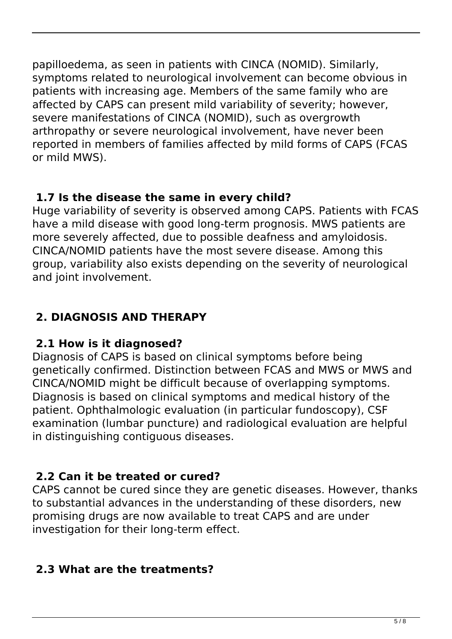papilloedema, as seen in patients with CINCA (NOMID). Similarly, symptoms related to neurological involvement can become obvious in patients with increasing age. Members of the same family who are affected by CAPS can present mild variability of severity; however, severe manifestations of CINCA (NOMID), such as overgrowth arthropathy or severe neurological involvement, have never been reported in members of families affected by mild forms of CAPS (FCAS or mild MWS).

### **1.7 Is the disease the same in every child?**

Huge variability of severity is observed among CAPS. Patients with FCAS have a mild disease with good long-term prognosis. MWS patients are more severely affected, due to possible deafness and amyloidosis. CINCA/NOMID patients have the most severe disease. Among this group, variability also exists depending on the severity of neurological and joint involvement.

# **2. DIAGNOSIS AND THERAPY**

# **2.1 How is it diagnosed?**

Diagnosis of CAPS is based on clinical symptoms before being genetically confirmed. Distinction between FCAS and MWS or MWS and CINCA/NOMID might be difficult because of overlapping symptoms. Diagnosis is based on clinical symptoms and medical history of the patient. Ophthalmologic evaluation (in particular fundoscopy), CSF examination (lumbar puncture) and radiological evaluation are helpful in distinguishing contiguous diseases.

# **2.2 Can it be treated or cured?**

CAPS cannot be cured since they are genetic diseases. However, thanks to substantial advances in the understanding of these disorders, new promising drugs are now available to treat CAPS and are under investigation for their long-term effect.

### **2.3 What are the treatments?**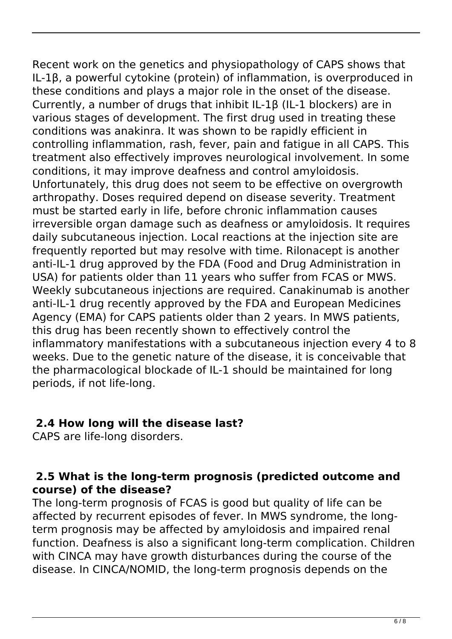Recent work on the genetics and physiopathology of CAPS shows that IL-1β, a powerful cytokine (protein) of inflammation, is overproduced in these conditions and plays a major role in the onset of the disease. Currently, a number of drugs that inhibit IL-1β (IL-1 blockers) are in various stages of development. The first drug used in treating these conditions was anakinra. It was shown to be rapidly efficient in controlling inflammation, rash, fever, pain and fatigue in all CAPS. This treatment also effectively improves neurological involvement. In some conditions, it may improve deafness and control amyloidosis. Unfortunately, this drug does not seem to be effective on overgrowth arthropathy. Doses required depend on disease severity. Treatment must be started early in life, before chronic inflammation causes irreversible organ damage such as deafness or amyloidosis. It requires daily subcutaneous injection. Local reactions at the injection site are frequently reported but may resolve with time. Rilonacept is another anti-IL-1 drug approved by the FDA (Food and Drug Administration in USA) for patients older than 11 years who suffer from FCAS or MWS. Weekly subcutaneous injections are required. Canakinumab is another anti-IL-1 drug recently approved by the FDA and European Medicines Agency (EMA) for CAPS patients older than 2 years. In MWS patients, this drug has been recently shown to effectively control the inflammatory manifestations with a subcutaneous injection every 4 to 8 weeks. Due to the genetic nature of the disease, it is conceivable that the pharmacological blockade of IL-1 should be maintained for long periods, if not life-long.

### **2.4 How long will the disease last?**

CAPS are life-long disorders.

#### **2.5 What is the long-term prognosis (predicted outcome and course) of the disease?**

The long-term prognosis of FCAS is good but quality of life can be affected by recurrent episodes of fever. In MWS syndrome, the longterm prognosis may be affected by amyloidosis and impaired renal function. Deafness is also a significant long-term complication. Children with CINCA may have growth disturbances during the course of the disease. In CINCA/NOMID, the long-term prognosis depends on the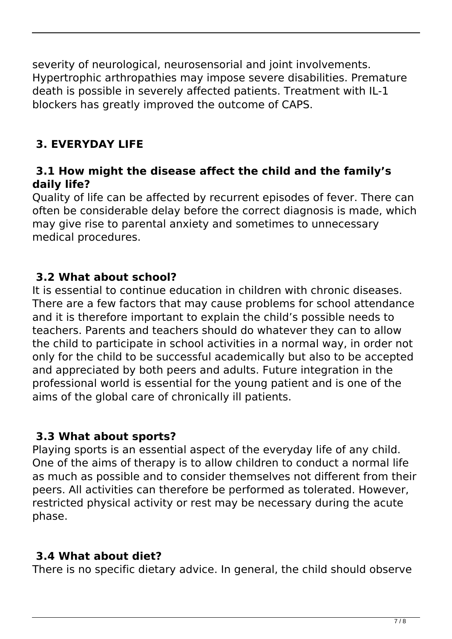severity of neurological, neurosensorial and joint involvements. Hypertrophic arthropathies may impose severe disabilities. Premature death is possible in severely affected patients. Treatment with IL-1 blockers has greatly improved the outcome of CAPS.

# **3. EVERYDAY LIFE**

#### **3.1 How might the disease affect the child and the family's daily life?**

Quality of life can be affected by recurrent episodes of fever. There can often be considerable delay before the correct diagnosis is made, which may give rise to parental anxiety and sometimes to unnecessary medical procedures.

### **3.2 What about school?**

It is essential to continue education in children with chronic diseases. There are a few factors that may cause problems for school attendance and it is therefore important to explain the child's possible needs to teachers. Parents and teachers should do whatever they can to allow the child to participate in school activities in a normal way, in order not only for the child to be successful academically but also to be accepted and appreciated by both peers and adults. Future integration in the professional world is essential for the young patient and is one of the aims of the global care of chronically ill patients.

### **3.3 What about sports?**

Playing sports is an essential aspect of the everyday life of any child. One of the aims of therapy is to allow children to conduct a normal life as much as possible and to consider themselves not different from their peers. All activities can therefore be performed as tolerated. However, restricted physical activity or rest may be necessary during the acute phase.

### **3.4 What about diet?**

There is no specific dietary advice. In general, the child should observe